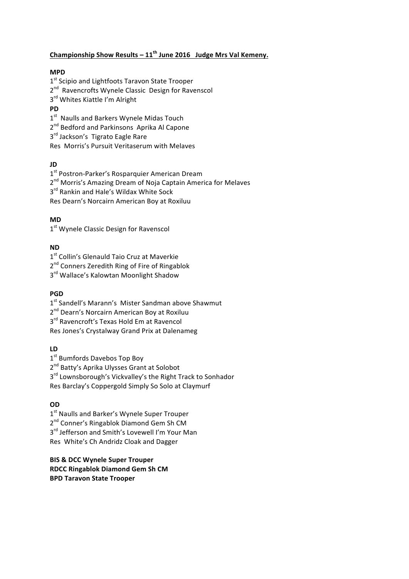## **Championship Show Results – 11<sup>th</sup> June 2016 Judge Mrs Val Kemeny.**

## **MPD**

1st Scipio and Lightfoots Taravon State Trooper  $2^{nd}$  Ravencrofts Wynele Classic Design for Ravenscol 3<sup>rd</sup> Whites Kiattle I'm Alright **PD**

 $1<sup>st</sup>$  Naulls and Barkers Wynele Midas Touch

2<sup>nd</sup> Bedford and Parkinsons Aprika Al Capone

3<sup>rd</sup> Jackson's Tigrato Eagle Rare

Res Morris's Pursuit Veritaserum with Melaves

### **JD**

1<sup>st</sup> Postron-Parker's Rosparquier American Dream

2<sup>nd</sup> Morris's Amazing Dream of Noja Captain America for Melaves

 $3<sup>rd</sup>$  Rankin and Hale's Wildax White Sock

Res Dearn's Norcairn American Boy at Roxiluu

### **MD**

1<sup>st</sup> Wynele Classic Design for Ravenscol

## **ND**

1<sup>st</sup> Collin's Glenauld Taio Cruz at Maverkie

2<sup>nd</sup> Conners Zeredith Ring of Fire of Ringablok

3<sup>rd</sup> Wallace's Kalowtan Moonlight Shadow

## **PGD**

1<sup>st</sup> Sandell's Marann's Mister Sandman above Shawmut

2<sup>nd</sup> Dearn's Norcairn American Boy at Roxiluu

3<sup>rd</sup> Ravencroft's Texas Hold Em at Ravencol

Res Jones's Crystalway Grand Prix at Dalenameg

## **LD**

1<sup>st</sup> Bumfords Davebos Top Boy

2<sup>nd</sup> Batty's Aprika Ulysses Grant at Solobot

3<sup>rd</sup> Lownsborough's Vickvalley's the Right Track to Sonhador

Res Barclay's Coppergold Simply So Solo at Claymurf

## **OD**

1<sup>st</sup> Naulls and Barker's Wynele Super Trouper 2<sup>nd</sup> Conner's Ringablok Diamond Gem Sh CM 3<sup>rd</sup> Jefferson and Smith's Lovewell I'm Your Man Res White's Ch Andridz Cloak and Dagger

### **BIS & DCC Wynele Super Trouper RDCC Ringablok Diamond Gem Sh CM BPD Taravon State Trooper**